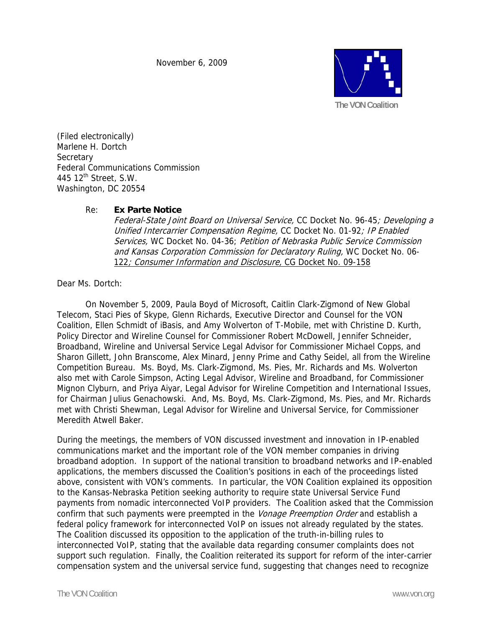November 6, 2009



(Filed electronically) Marlene H. Dortch **Secretary** Federal Communications Commission 445  $12^{\text{th}}$  Street, S.W. Washington, DC 20554

## Re: **Ex Parte Notice**

Federal-State Joint Board on Universal Service, CC Docket No. 96-45; Developing a Unified Intercarrier Compensation Regime, CC Docket No. 01-92; IP Enabled Services, WC Docket No. 04-36; Petition of Nebraska Public Service Commission and Kansas Corporation Commission for Declaratory Ruling, WC Docket No. 06- 122; Consumer Information and Disclosure, CG Docket No. 09-158

Dear Ms. Dortch:

On November 5, 2009, Paula Boyd of Microsoft, Caitlin Clark-Zigmond of New Global Telecom, Staci Pies of Skype, Glenn Richards, Executive Director and Counsel for the VON Coalition, Ellen Schmidt of iBasis, and Amy Wolverton of T-Mobile, met with Christine D. Kurth, Policy Director and Wireline Counsel for Commissioner Robert McDowell, Jennifer Schneider, Broadband, Wireline and Universal Service Legal Advisor for Commissioner Michael Copps, and Sharon Gillett, John Branscome, Alex Minard, Jenny Prime and Cathy Seidel, all from the Wireline Competition Bureau. Ms. Boyd, Ms. Clark-Zigmond, Ms. Pies, Mr. Richards and Ms. Wolverton also met with Carole Simpson, Acting Legal Advisor, Wireline and Broadband, for Commissioner Mignon Clyburn, and Priya Aiyar, Legal Advisor for Wireline Competition and International Issues, for Chairman Julius Genachowski. And, Ms. Boyd, Ms. Clark-Zigmond, Ms. Pies, and Mr. Richards met with Christi Shewman, Legal Advisor for Wireline and Universal Service, for Commissioner Meredith Atwell Baker.

During the meetings, the members of VON discussed investment and innovation in IP-enabled communications market and the important role of the VON member companies in driving broadband adoption. In support of the national transition to broadband networks and IP-enabled applications, the members discussed the Coalition's positions in each of the proceedings listed above, consistent with VON's comments. In particular, the VON Coalition explained its opposition to the Kansas-Nebraska Petition seeking authority to require state Universal Service Fund payments from nomadic interconnected VoIP providers. The Coalition asked that the Commission confirm that such payments were preempted in the Vonage Preemption Order and establish a federal policy framework for interconnected VoIP on issues not already regulated by the states. The Coalition discussed its opposition to the application of the truth-in-billing rules to interconnected VoIP, stating that the available data regarding consumer complaints does not support such regulation. Finally, the Coalition reiterated its support for reform of the inter-carrier compensation system and the universal service fund, suggesting that changes need to recognize